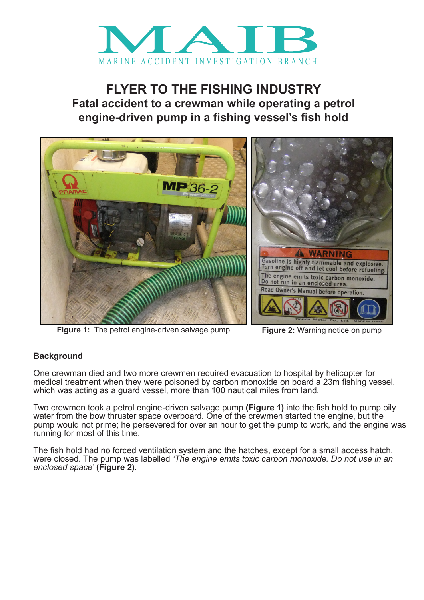

## **FLYER TO THE FISHING INDUSTRY Fatal accident to a crewman while operating a petrol engine-driven pump in a fishing vessel's fish hold**



**Figure 1:** The petrol engine-driven salvage pump **Figure 2:** Warning notice on pump

## **Background**

One crewman died and two more crewmen required evacuation to hospital by helicopter for medical treatment when they were poisoned by carbon monoxide on board a 23m fishing vessel, which was acting as a guard vessel, more than 100 nautical miles from land.

Two crewmen took a petrol engine-driven salvage pump **(Figure 1)** into the fish hold to pump oily water from the bow thruster space overboard. One of the crewmen started the engine, but the pump would not prime; he persevered for over an hour to get the pump to work, and the engine was running for most of this time.

The fish hold had no forced ventilation system and the hatches, except for a small access hatch, were closed. The pump was labelled *'The engine emits toxic carbon monoxide. Do not use in an enclosed space'* **(Figure 2)**.